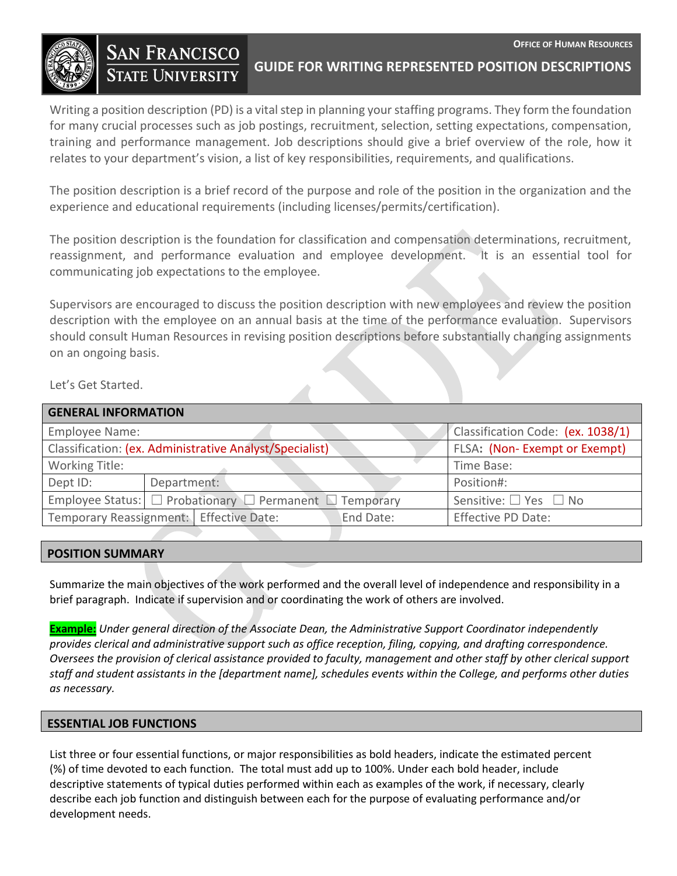

# SAN FRANCISCO

 **GUIDE FOR WRITING REPRESENTED POSITION DESCRIPTIONS**

Writing a position description (PD) is a vital step in planning your staffing programs. They form the foundation for many crucial processes such as job postings, recruitment, selection, setting expectations, compensation, training and performance management. Job descriptions should give a brief overview of the role, how it relates to your department's vision, a list of key responsibilities, requirements, and qualifications.

The position description is a brief record of the purpose and role of the position in the organization and the experience and educational requirements (including licenses/permits/certification).

The position description is the foundation for classification and compensation determinations, recruitment, reassignment, and performance evaluation and employee development. It is an essential tool for communicating job expectations to the employee.

Supervisors are encouraged to discuss the position description with new employees and review the position description with the employee on an annual basis at the time of the performance evaluation. Supervisors should consult Human Resources in revising position descriptions before substantially changing assignments on an ongoing basis.

## Let's Get Started.

| <b>GENERAL INFORMATION</b>                              |                                                                        |                                       |
|---------------------------------------------------------|------------------------------------------------------------------------|---------------------------------------|
| Employee Name:                                          |                                                                        | Classification Code: (ex. 1038/1)     |
| Classification: (ex. Administrative Analyst/Specialist) |                                                                        | FLSA: (Non-Exempt or Exempt)          |
| <b>Working Title:</b>                                   |                                                                        | Time Base:                            |
| Dept ID:                                                | Department:                                                            | Position#:                            |
|                                                         | Employee Status: $\Box$ Probationary $\Box$ Permanent $\Box$ Temporary | Sensitive: $\square$ Yes $\square$ No |
| Temporary Reassignment: Effective Date:<br>End Date:    |                                                                        | <b>Effective PD Date:</b>             |

#### **POSITION SUMMARY**

Summarize the main objectives of the work performed and the overall level of independence and responsibility in a brief paragraph. Indicate if supervision and or coordinating the work of others are involved.

**Example:** *Under general direction of the Associate Dean, the Administrative Support Coordinator independently provides clerical and administrative support such as office reception, filing, copying, and drafting correspondence. Oversees the provision of clerical assistance provided to faculty, management and other staff by other clerical support staff and student assistants in the [department name], schedules events within the College, and performs other duties as necessary.*

### **ESSENTIAL JOB FUNCTIONS**

List three or four essential functions, or major responsibilities as bold headers, indicate the estimated percent (%) of time devoted to each function. The total must add up to 100%. Under each bold header, include descriptive statements of typical duties performed within each as examples of the work, if necessary, clearly describe each job function and distinguish between each for the purpose of evaluating performance and/or development needs.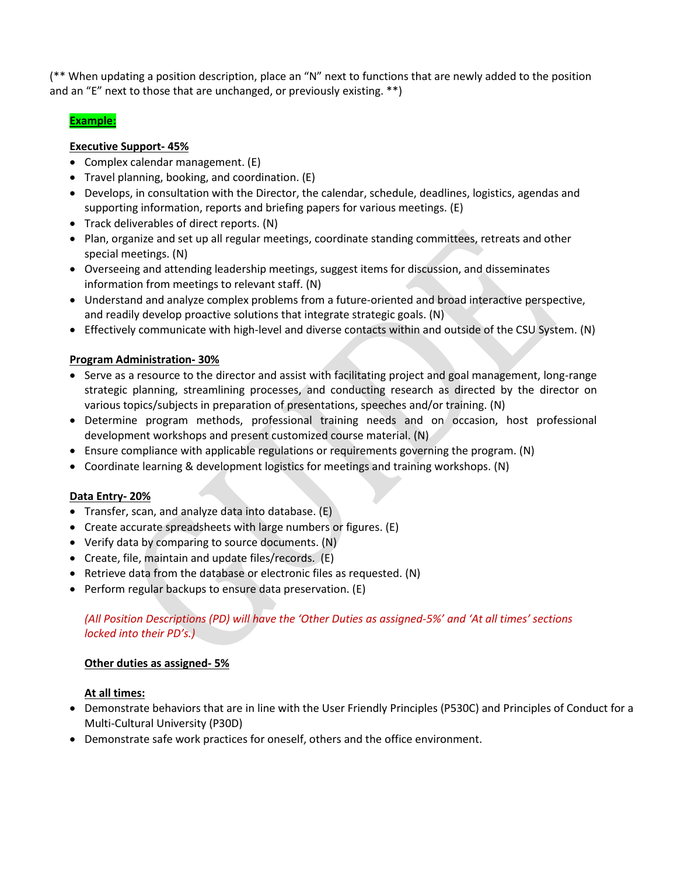(\*\* When updating a position description, place an "N" next to functions that are newly added to the position and an "E" next to those that are unchanged, or previously existing. \*\*)

# **Example:**

# **Executive Support- 45%**

- Complex calendar management. (E)
- Travel planning, booking, and coordination. (E)
- Develops, in consultation with the Director, the calendar, schedule, deadlines, logistics, agendas and supporting information, reports and briefing papers for various meetings. (E)
- Track deliverables of direct reports. (N)
- Plan, organize and set up all regular meetings, coordinate standing committees, retreats and other special meetings. (N)
- Overseeing and attending leadership meetings, suggest items for discussion, and disseminates information from meetings to relevant staff. (N)
- Understand and analyze complex problems from a future-oriented and broad interactive perspective, and readily develop proactive solutions that integrate strategic goals. (N)
- Effectively communicate with high-level and diverse contacts within and outside of the CSU System. (N)

# **Program Administration- 30%**

- Serve as a resource to the director and assist with facilitating project and goal management, long-range strategic planning, streamlining processes, and conducting research as directed by the director on various topics/subjects in preparation of presentations, speeches and/or training. (N)
- Determine program methods, professional training needs and on occasion, host professional development workshops and present customized course material. (N)
- Ensure compliance with applicable regulations or requirements governing the program. (N)
- Coordinate learning & development logistics for meetings and training workshops. (N)

# **Data Entry- 20%**

- Transfer, scan, and analyze data into database. (E)
- Create accurate spreadsheets with large numbers or figures. (E)
- Verify data by comparing to source documents. (N)
- Create, file, maintain and update files/records. (E)
- Retrieve data from the database or electronic files as requested. (N)
- Perform regular backups to ensure data preservation. (E)

# *(All Position Descriptions (PD) will have the 'Other Duties as assigned-5%' and 'At all times' sections locked into their PD's.)*

# **Other duties as assigned- 5%**

# **At all times:**

- Demonstrate behaviors that are in line with the User Friendly Principles (P530C) and Principles of Conduct for a Multi-Cultural University (P30D)
- Demonstrate safe work practices for oneself, others and the office environment.